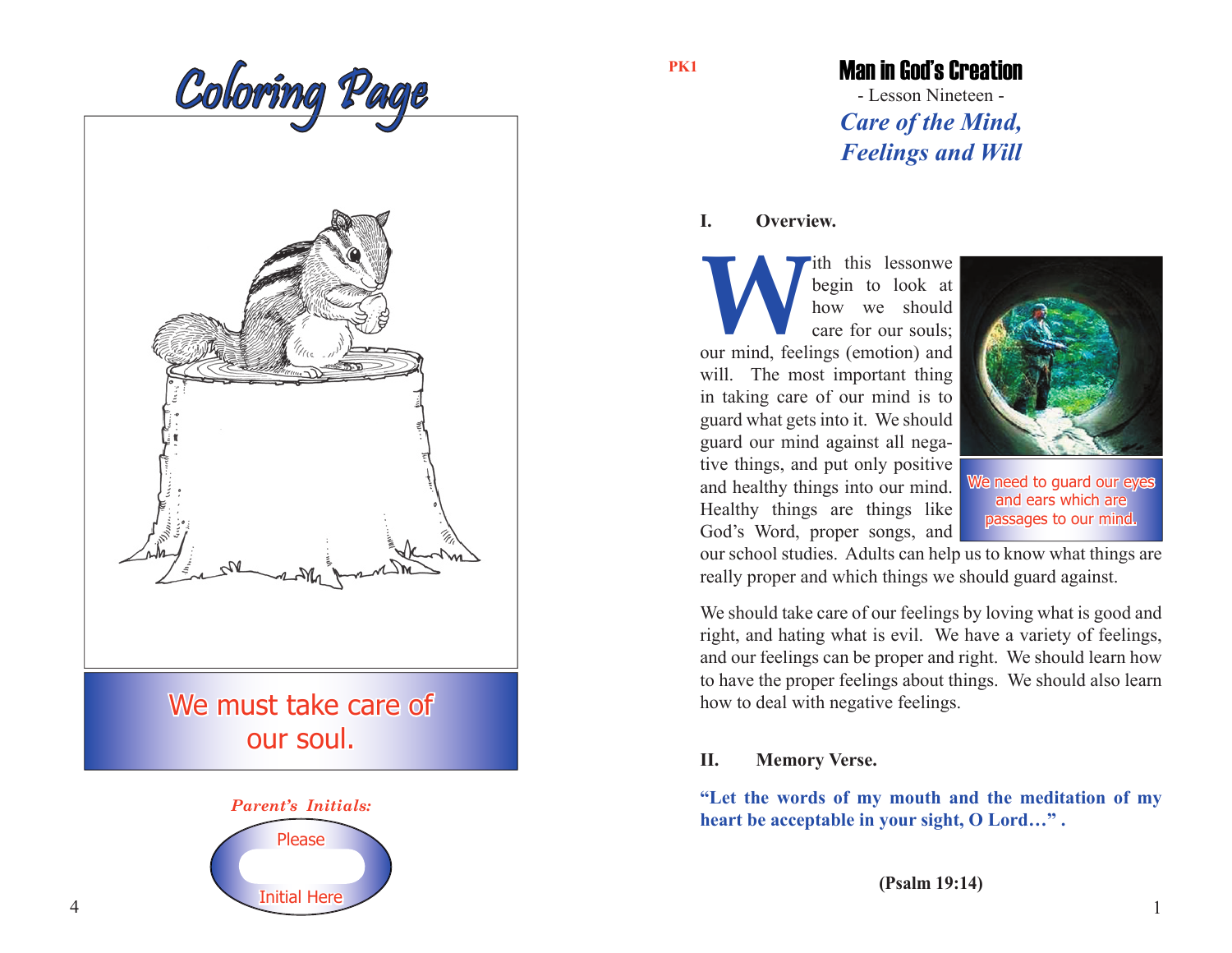



our soul.



#### **PK1**

# Man in God's Creation

- Lesson Nineteen - *Care of the Mind, Feelings and Will*

## **I. Overview.**

**WE ARE SET AND SERVIET AND SERVIET AND SERVIET AND THE SERVICE SURVEY ON A SERVIET AND SERVIET AND SERVIET AND SERVIET AND SERVIET AND SERVIET AND SERVIET AND SERVIET AND SERVIET AND SERVIET AND SERVIET AND SERVIET AND SE** ith this lessonwe begin to look at how we should care for our souls; will. The most important thing in taking care of our mind is to guard what gets into it. We should guard our mind against all negative things, and put only positive and healthy things into our mind. Healthy things are things like God's Word, proper songs, and



We need to guard our eyes and ears which are passages to our mind.

our school studies. Adults can help us to know what things are really proper and which things we should guard against.

We should take care of our feelings by loving what is good and right, and hating what is evil. We have a variety of feelings, and our feelings can be proper and right. We should learn how to have the proper feelings about things. We should also learn how to deal with negative feelings.

# **II. Memory Verse.**

**"Let the words of my mouth and the meditation of my heart be acceptable in your sight, O Lord…" .**

**(Psalm 19:14)**